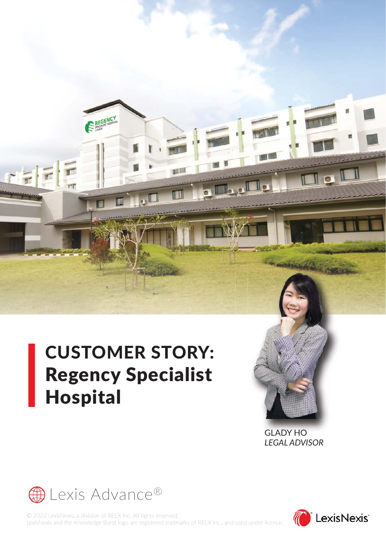# CUSTOMER STORY: Regency Specialist Hospital

REGENCY

HIL

or L

 $\overline{\mathbf{r}}$ 

CEI

GLADY HO GLADY HO*LEGAL ADVISOR*



© 2022 LexisNexis, a division of RELX Inc. All rights reserved. LexisNexis and the Knowledge Burst logo are registered tradmarks of RELX Inc., and used under licence.



 $\blacksquare$  o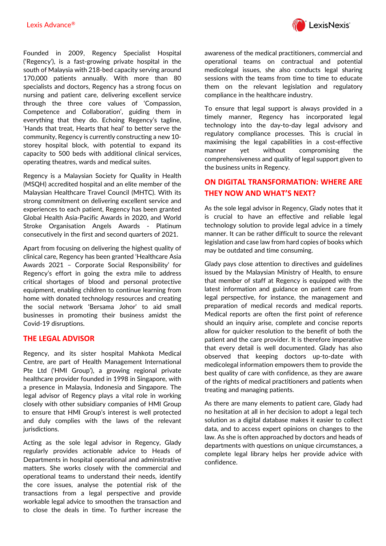

Founded in 2009, Regency Specialist Hospital ('Regency'), is a fast-growing private hospital in the south of Malaysia with 218-bed capacity serving around 170,000 patients annually. With more than 80 specialists and doctors, Regency has a strong focus on nursing and patient care, delivering excellent service through the three core values of 'Compassion, Competence and Collaboration', guiding them in everything that they do. Echoing Regency's tagline, 'Hands that treat, Hearts that heal' to better serve the community, Regency is currently constructing a new 10 storey hospital block, with potential to expand its capacity to 500 beds with additional clinical services, operating theatres, wards and medical suites.

Regency is a Malaysian Society for Quality in Health (MSQH) accredited hospital and an elite member of the Malaysian Healthcare Travel Council (MHTC). With its strong commitment on delivering excellent service and experiences to each patient, Regency has been granted Global Health Asia-Pacific Awards in 2020, and World Stroke Organisation Angels Awards - Platinum consecutively in the first and second quarters of 2021.

Apart from focusing on delivering the highest quality of clinical care, Regency has been granted 'Healthcare Asia Awards 2021 – Corporate Social Responsibility' for Regency's effort in going the extra mile to address critical shortages of blood and personal protective equipment, enabling children to continue learning from home with donated technology resources and creating the social network 'Bersama Johor' to aid small businesses in promoting their business amidst the Covid-19 disruptions.

#### **THE LEGAL ADVISOR**

Regency, and its sister hospital Mahkota Medical Centre, are part of Health Management International Pte Ltd ('HMI Group'), a growing regional private healthcare provider founded in 1998 in Singapore, with a presence in Malaysia, Indonesia and Singapore. The legal advisor of Regency plays a vital role in working closely with other subsidiary companies of HMI Group to ensure that HMI Group's interest is well protected and duly complies with the laws of the relevant jurisdictions.

Acting as the sole legal advisor in Regency, Glady regularly provides actionable advice to Heads of Departments in hospital operational and administrative matters. She works closely with the commercial and operational teams to understand their needs, identify the core issues, analyse the potential risk of the transactions from a legal perspective and provide workable legal advice to smoothen the transaction and to close the deals in time. To further increase the

awareness of the medical practitioners, commercial and operational teams on contractual and potential medicolegal issues, she also conducts legal sharing sessions with the teams from time to time to educate them on the relevant legislation and regulatory compliance in the healthcare industry.

To ensure that legal support is always provided in a timely manner, Regency has incorporated legal technology into the day-to-day legal advisory and regulatory compliance processes. This is crucial in maximising the legal capabilities in a cost-effective manner yet without compromising the comprehensiveness and quality of legal support given to the business units in Regency.

### **ON DIGITAL TRANSFORMATION: WHERE ARE THEY NOW AND WHAT'S NEXT?**

As the sole legal advisor in Regency, Glady notes that it is crucial to have an effective and reliable legal technology solution to provide legal advice in a timely manner. It can be rather difficult to source the relevant legislation and case law from hard copies of books which may be outdated and time consuming.

Glady pays close attention to directives and guidelines issued by the Malaysian Ministry of Health, to ensure that member of staff at Regency is equipped with the latest information and guidance on patient care from legal perspective, for instance, the management and preparation of medical records and medical reports. Medical reports are often the first point of reference should an inquiry arise, complete and concise reports allow for quicker resolution to the benefit of both the patient and the care provider. It is therefore imperative that every detail is well documented. Glady has also observed that keeping doctors up-to-date with medicolegal information empowers them to provide the best quality of care with confidence, as they are aware of the rights of medical practitioners and patients when treating and managing patients.

As there are many elements to patient care, Glady had no hesitation at all in her decision to adopt a legal tech solution as a digital database makes it easier to collect data, and to access expert opinions on changes to the law. As she is often approached by doctors and heads of departments with questions on unique circumstances, a complete legal library helps her provide advice with confidence.